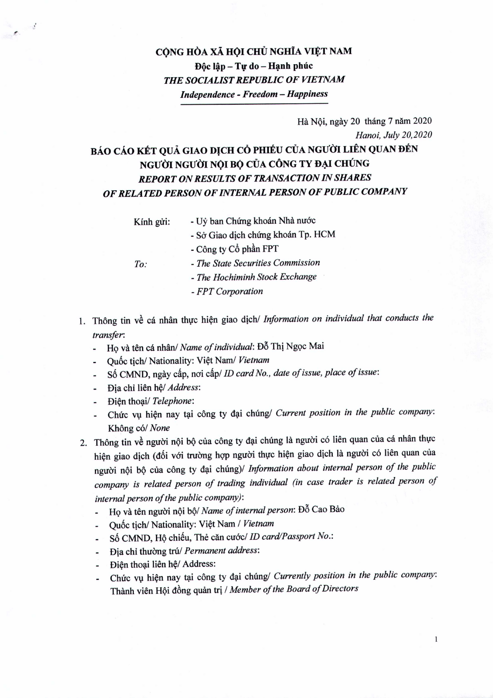## CÔNG HÒA XÃ HỘI CHỦ NGHĨA VIỆT NAM Dôc lâp - Tư do - Hạnh phúc *THE SOCIALIST REPUBLIC OF VIETNAM Independence - Freedom - Happiness*

## Hà Nội, ngày 20 tháng 7 năm 2020 *Hanoi, July 20,2020* BÁO CÁO KẾT QUẢ GIAO DỊCH CỔ PHIẾU CỦA NGƯỜI LIÊN QUAN ĐẾN NGƯỜI NGƯỜI NỘI BỘ CỦA CÔNG TY ĐẠI CHÚNG *REPORT ONRESULTS OF TRANSACTION IN SHARES OF RELATED PERSON OFINTERNAL PERSON OFPUBLIC COMPANY*

Kính gửi:

- Uỷ ban Chứng khoán Nhà nước
	- Sở Giao dịch chứng khoán Tp. HCM
- *To:*

*F.*

- Công ty Cổ phần FPT *- The State Securities Commission*
- *- The Hochiminh Stock Exchange*
- *- FPT Corporation*
- 1. Thong tin ve ca nhan thuc hien giao dich/ *Information on individual that conducts the transfer:*
	- HQ va ten ca nhan/ *Name of individual:* D6 Thi Ngoc Mai  $\omega$  .
	- Quốc tịch/ Nationality: Việt Nam/ Vietnam
	- s6 CMND, ngay cAp, noi *cAplID card No., date of issue, place of issue:*
	- Đia chỉ liên hệ/ Address:
	- **Diện thoại/** *Telephone*:
	- Chirc V\1 hien nay tai cong ty dai chung/ *Current position in the public company:* Không có/ None
- 2. Thông tin về người nội bộ của công ty đại chúng là người có liên quan của cá nhân thực hiện giao dịch (đối với trường hợp người thực hiện giao dịch là người có liên quan của nguoi nQi bQ cua cong ty dai chungj/ *Information about internal person of the public company is related person of trading individual (in case trader is related person of internal person of the public company):*
	- Họ và tên người nội bộ/ Name of internal person: Đỗ Cao Bảo
	- Qu6c tich/ Nationality: Viet Nam *I Vietnam*
	- se CMND, HQ chieu, The can *cuacl ID card/Passport No.:*
	- **Dia chi thuòng trú/ Permanent address:**
	- Điện thoại liên hệ/ Address:
	- Chức vụ hiện nay tại công ty đại chúng/ *Currently position in the public company*: Thanh vien HQi d6ng quan tri *I Member of the Board of Directors*

 $\mathbf{1}$